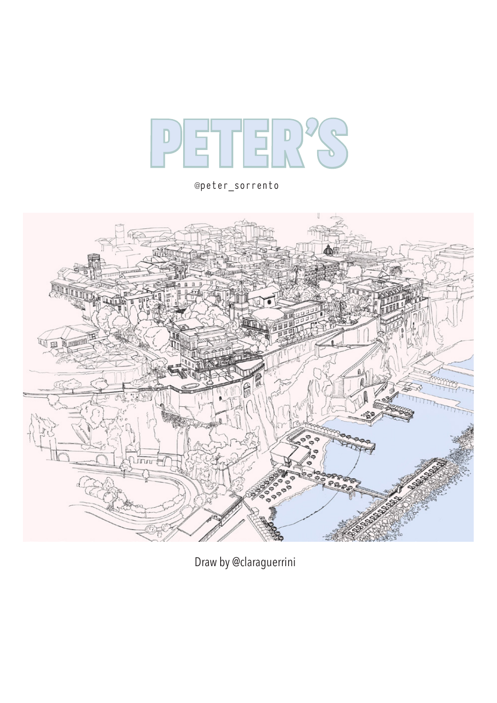

@peter\_sorrento



Draw by @claraguerrini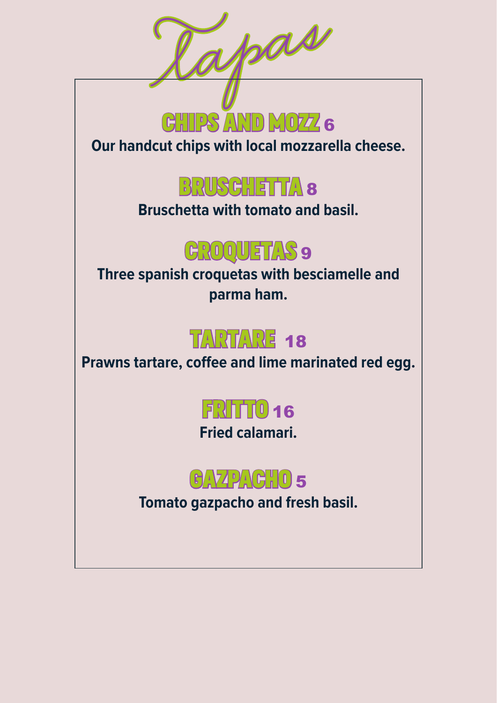

**Our handcut chips with local mozzarella cheese.**



**Bruschetta with tomato and basil.**

#### GROQUETAS 9

**Three spanish croquetas with besciamelle and parma ham.**

#### TARTARE 18

**Prawns tartare, coffee and lime marinated red egg.**

## fritto <sup>16</sup>

**Fried calamari.**



**Tomato gazpacho and fresh basil.**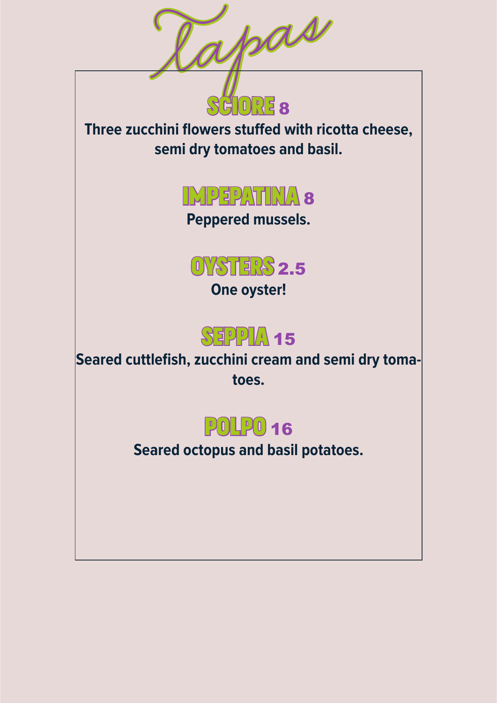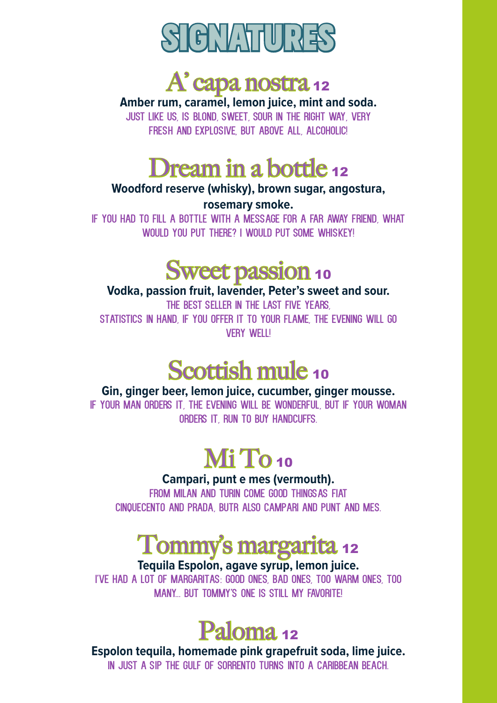



**Amber rum, caramel, lemon juice, mint and soda.**

Just like us, is blond, sweet, sour in the right way, very fresh and explosive, but above all, alcoholic!

#### Dream in a bottle 12

#### **Woodford reserve (whisky), brown sugar, angostura, rosemary smoke.**

If you had to fill a bottle with a message for a far away friend, What would you put there? I would put some whiskey!

#### Sweet passion 10

#### **Vodka, passion fruit, lavender, Peter's sweet and sour.** THE BEST SELLER IN THE LAST FIVE YEARS. Statistics in hand, if you offer it to your flame, the evening will go **VFRY WFILL**

#### Scottish mule 10

**Gin, ginger beer, lemon juice, cucumber, ginger mousse.** If your man orders it, the evening will be wonderful, but if your woman orders it, run to buy handcuffs.

### Mi To<sub>10</sub>

#### **Campari, punt e mes (vermouth).**

FROM MILAN AND TURIN COME GOOD THINGSAS FIAT cinquecento and Prada, butr also Campari and Punt and mes.

### Tommy's margarita <sup>12</sup>

#### **Tequila Espolon, agave syrup, lemon juice.**

I've had a lot of margaritas: good ones, bad ones, too warm ones, too MANY BUT TOMMY'S ONE IS STILL MY FAVORITE!



**Espolon tequila, homemade pink grapefruit soda, lime juice.** In just a sip the Gulf of Sorrento turns into a caribbean beach.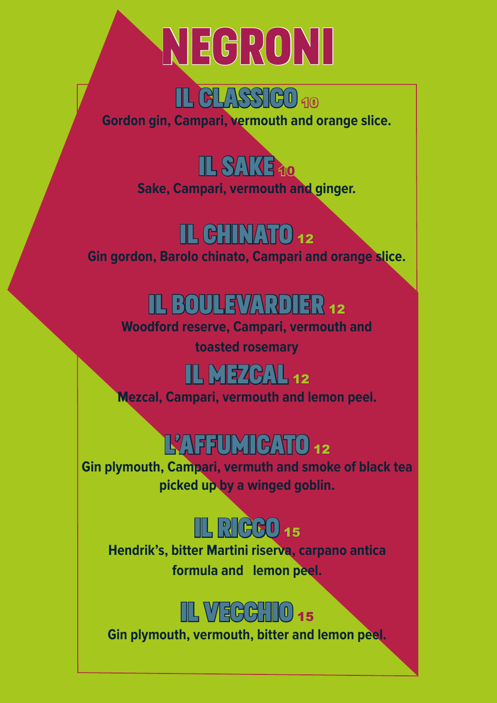# negroni



**Gordon gin, Campari, vermouth and orange slice.**



**Sake, Campari, vermouth and ginger.**

#### IL CHINATO 12

**Gin gordon, Barolo chinato, Campari and orange slice.**

## IL BOULEVARDIER 12

**Woodford reserve, Campari, vermouth and toasted rosemary**

## **IL MEZCAL 12**

**Mezcal, Campari, vermouth and lemon peel.**

## L'AFFUMICATO 12

**Gin plymouth, Campari, vermuth and smoke of black tea picked up by a winged goblin.**



**Hendrik's, bitter Martini riserva, carpano antica formula and lemon peel.**



**Gin plymouth, vermouth, bitter and lemon peel.**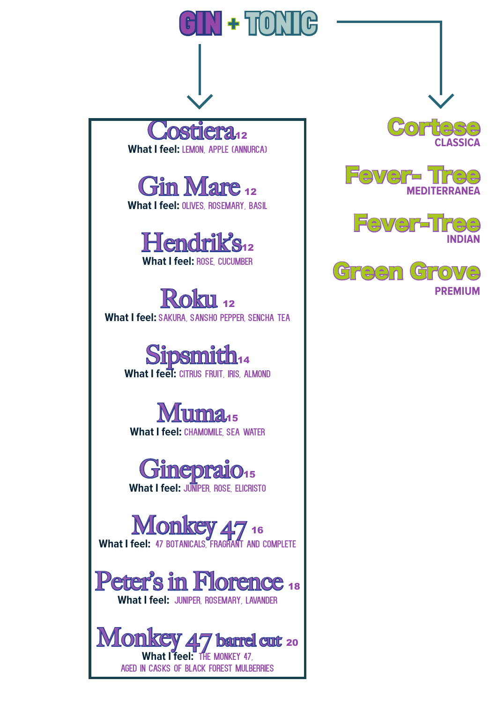







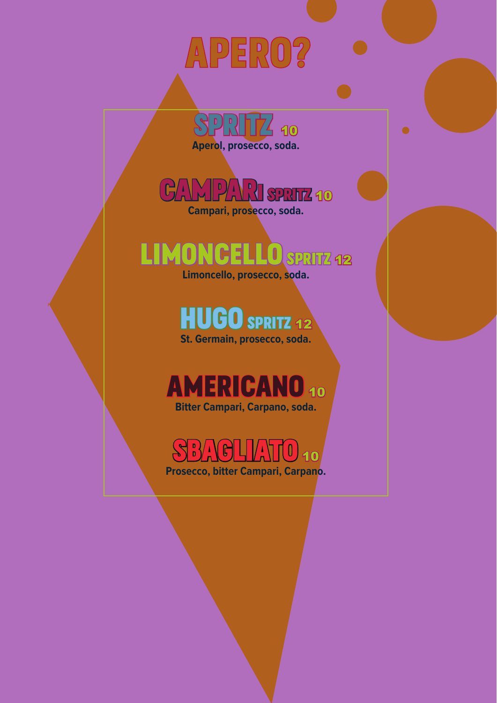## apero?

 $\mathbb{P}[\mathcal{S}]\parallel\mathcal{S}'$  10 **Aperol, prosecco, soda.**

 $\bullet$ 

 $\mathbb{P}(\mathcal{N}\mathcal{N})$  spritz 10 **Campari, prosecco, soda.**

## limoncello spritz <sup>12</sup>

**Limoncello, prosecco, soda.**

**HUGO SPRITZ 12 St. Germain, prosecco, soda.**

#### AMERICANO 10 **Bitter Campari, Carpano, soda.**

Sbagliato <sup>10</sup> **Prosecco, bitter Campari, Carpano.**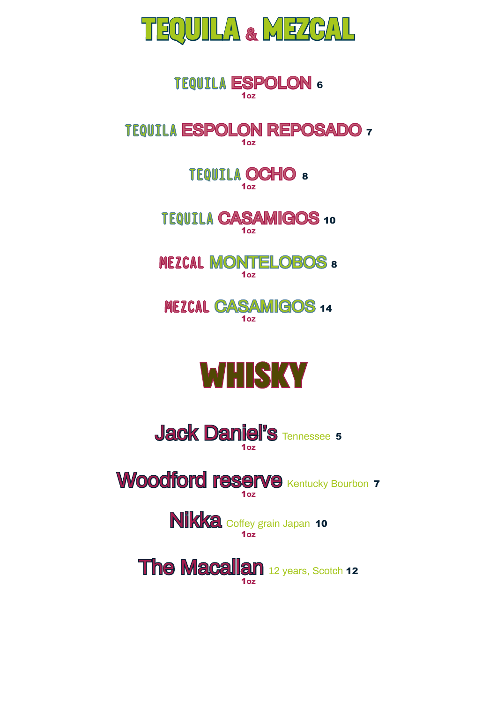

#### TEQUILA ESPOLON <sup>6</sup> 1OZ

#### TEQUILA ESPOLON REPOSADO <sup>7</sup> 1OZ

TEQUILA OCHO <sup>8</sup> 1OZ

TEQUILA CASAMIGOS <sup>10</sup>  $1<sub>0z</sub>$ 

**MEZCAL MONTELOBOS 8** 1OZ

MEZCAL CASAMIGOS <sup>14</sup> 1OZ





Woodford reserve Kentucky Bourbon 7  $1<sub>07</sub>$ 

> Nikka Coffey grain Japan 10 1OZ

**The Macallan 12 years, Scotch 12** 1OZ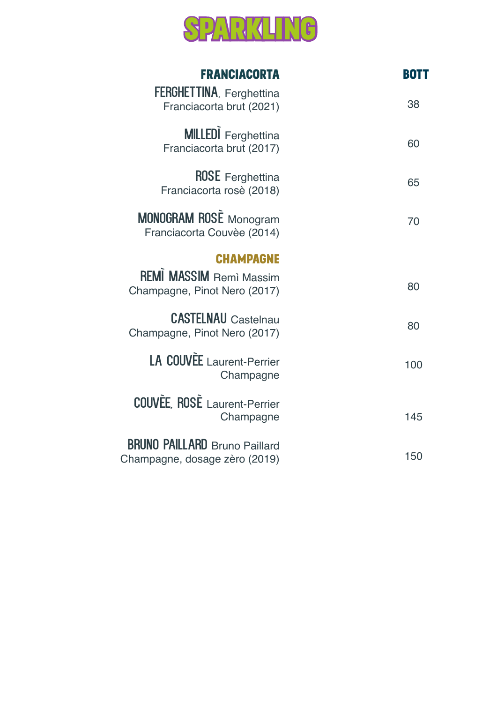

| <b>FRANCIACORTA</b>                                                   | <b>BOTT</b> |
|-----------------------------------------------------------------------|-------------|
| <b>FERGHETTINA, Ferghettina</b><br>Franciacorta brut (2021)           | 38          |
| <b>MILLEDI</b> Ferghettina<br>Franciacorta brut (2017)                | 60          |
| <b>ROSE</b> Ferghettina<br>Franciacorta rosè (2018)                   | 65          |
| <b>MONOGRAM ROSE</b> Monogram<br>Franciacorta Couvèe (2014)           | 70          |
| <b>CHAMPAGNE</b>                                                      |             |
| <b>REMI MASSIM Remi Massim</b><br>Champagne, Pinot Nero (2017)        | 80          |
| <b>CASTELNAU</b> Castelnau<br>Champagne, Pinot Nero (2017)            | 80          |
| <b>LA COUVEE</b> Laurent-Perrier<br>Champagne                         | 100         |
| <b>COUVÈE, ROSÈ</b> Laurent-Perrier<br>Champagne                      | 145         |
| <b>BRUNO PAILLARD</b> Bruno Paillard<br>Champagne, dosage zèro (2019) | 150         |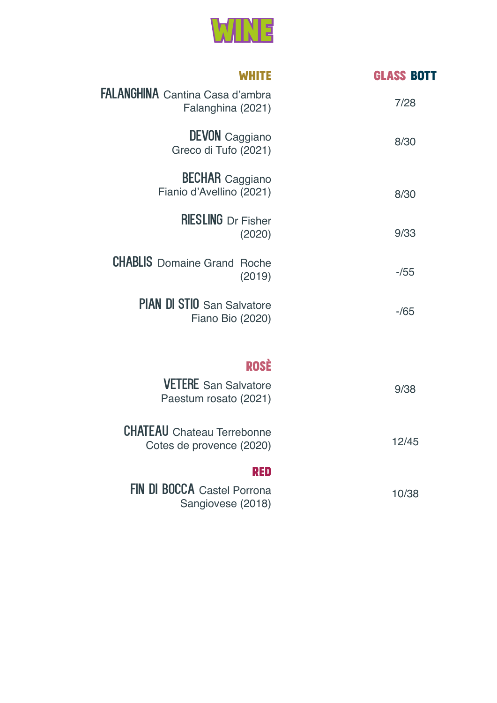

| <b>WHITE</b>                                                  | <b>GLASS BOTT</b> |
|---------------------------------------------------------------|-------------------|
| <b>FALANGHINA</b> Cantina Casa d'ambra<br>Falanghina (2021)   | 7/28              |
| <b>DEVON</b> Caggiano<br>Greco di Tufo (2021)                 | 8/30              |
| <b>BECHAR</b> Caggiano<br>Fianio d'Avellino (2021)            | 8/30              |
| <b>RIESLING</b> Dr Fisher<br>(2020)                           | 9/33              |
| <b>CHABLIS</b> Domaine Grand Roche<br>(2019)                  | $-155$            |
| PIAN DI STIO San Salvatore<br>Fiano Bio (2020)                | $-165$            |
| <b>ROSĖ</b>                                                   |                   |
| <b>VETERE</b> San Salvatore<br>Paestum rosato (2021)          | 9/38              |
| <b>CHATEAU</b> Chateau Terrebonne<br>Cotes de provence (2020) | 12/45             |
| RED                                                           |                   |
| <b>FIN DI BOCCA</b> Castel Porrona<br>Sangiovese (2018)       | 10/38             |